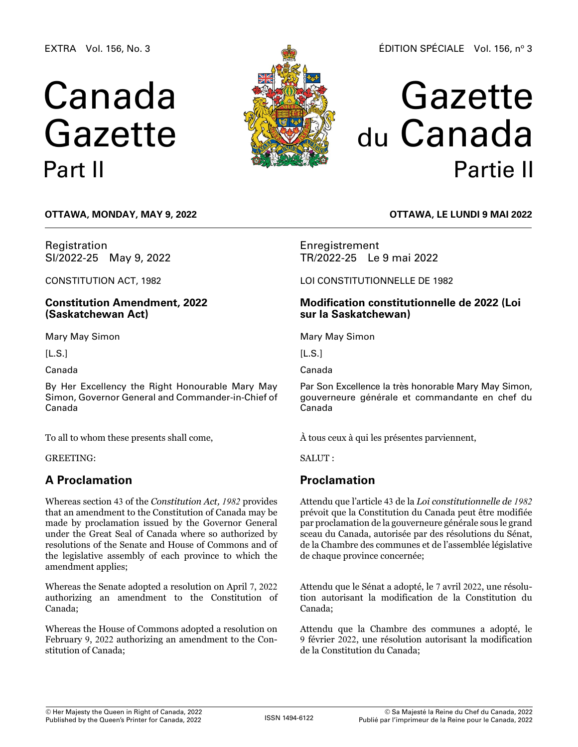EXTRA Vol. 156, No. 3

# Canada Gazette Part II



# Gazette du Canada Partie II

**OTTAWA, Monday, May 9, 2022**

Registration SI/2022-25 May 9, 2022

CONSTITUTION ACT, 1982

**Constitution Amendment, 2022 (Saskatchewan Act)**

Mary May Simon

 $[L.S.]$ 

Canada

By Her Excellency the Right Honourable Mary May Simon, Governor General and Commander-in-Chief of Canada

To all to whom these presents shall come,

GREETING:

## **A Proclamation**

Whereas section 43 of the *Constitution Act, 1982* provides that an amendment to the Constitution of Canada may be made by proclamation issued by the Governor General under the Great Seal of Canada where so authorized by resolutions of the Senate and House of Commons and of the legislative assembly of each province to which the amendment applies;

Whereas the Senate adopted a resolution on April 7, 2022 authorizing an amendment to the Constitution of Canada;

Whereas the House of Commons adopted a resolution on February 9, 2022 authorizing an amendment to the Constitution of Canada;

**OTTAWA, LE lundi 9 mai 2022**

Enregistrement TR/2022-25 Le 9 mai 2022

LOI CONSTITUTIONNELLE DE 1982

## **Modification constitutionnelle de 2022 (Loi sur la Saskatchewan)**

Mary May Simon

 $[L.S.]$ 

Canada

Par Son Excellence la très honorable Mary May Simon, gouverneure générale et commandante en chef du Canada

À tous ceux à qui les présentes parviennent,

SALUT :

## **Proclamation**

Attendu que l'article 43 de la *Loi constitutionnelle de 1982* prévoit que la Constitution du Canada peut être modifiée par proclamation de la gouverneure générale sous le grand sceau du Canada, autorisée par des résolutions du Sénat, de la Chambre des communes et de l'assemblée législative de chaque province concernée;

Attendu que le Sénat a adopté, le 7 avril 2022, une résolution autorisant la modification de la Constitution du Canada;

Attendu que la Chambre des communes a adopté, le 9 février 2022, une résolution autorisant la modification de la Constitution du Canada;